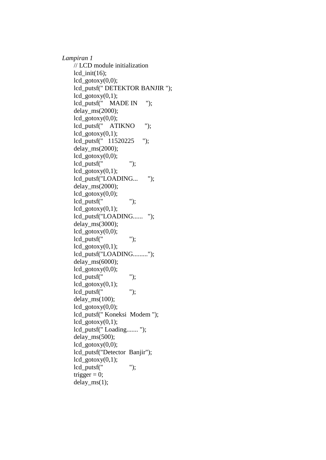*Lampiran 1* // LCD module initialization lcd init(16);  $lcd\_gotoxy(0,0);$ lcd\_putsf(" DETEKTOR BANJIR ");  $lcd\_gotoxy(0,1);$ lcd\_putsf(" MADE IN "); delay\_ms(2000);  $lcd\_gotoxy(0,0);$ lcd\_putsf(" ATIKNO ");  $lcd\_gotoxy(0,1);$ lcd\_putsf(" 11520225 "); delay\_ms(2000);  $lcd\_gotoxy(0,0);$ lcd\_putsf(" "); lcd  $\text{gotoxy}(0,1);$ lcd\_putsf("LOADING... "); delay\_ms(2000);  $lcd\_gotoxy(0,0);$  $led\ putsff(" "");$  $lcd\_gotoxy(0,1);$ lcd\_putsf("LOADING...... "); delay\_ms(3000);  $lcd\_gotoxy(0,0);$  $led\_putsf(" "");$  $lcd\_gotoxy(0,1);$ lcd\_putsf("LOADING........."); delay\_ms(6000); lcd  $\text{gotoxy}(0,0);$ lcd\_putsf(" ");  $lcd\_gotoxy(0,1);$  $lcd\_putsf(" "");$ delay\_ms(100);  $lcd\_gotoxy(0,0);$ lcd\_putsf(" Koneksi Modem ");  $lcd\_gotoxy(0,1);$ lcd\_putsf(" Loading....... "); delay\_ms(500); lcd  $\text{gotoxy}(0,0);$ lcd\_putsf("Detector Banjir");  $lcd\_gotoxy(0,1);$  $led\_putsf(" "");$ trigger  $= 0$ ; delay  $ms(1)$ ;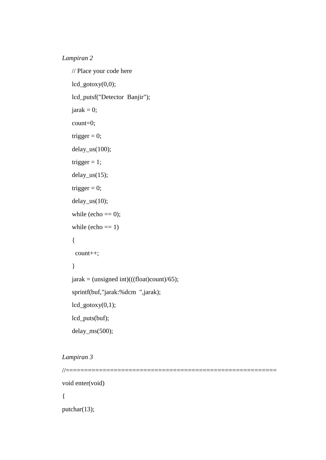## *Lampiran 2*

```
 // Place your code here
lcd\_gotoxy(0,0); lcd_putsf("Detector Banjir");
jarak = 0; count=0;
trigger = 0;
 delay_us(100);
trigger = 1;
 delay_us(15);
trigger = 0;
delay_us(10);while (echo == 0);
while (echo == 1) {
  count++;
 }
jarak = (unsigned int)(((float)count)/65); sprintf(buf,"jarak:%dcm ",jarak);
lcd\_gotoxy(0,1); lcd_puts(buf);
 delay_ms(500);
```
## *Lampiran 3*

```
//=========================================================
void enter(void)
{
putchar(13);
```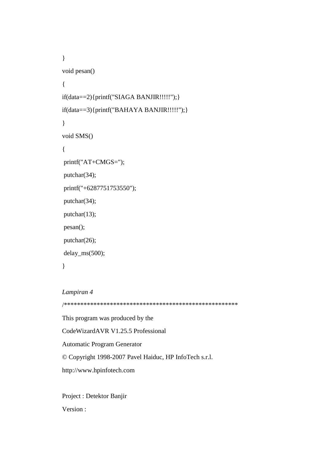```
} 
void pesan()
{
if(data==2){printf("SIAGA BANJIR!!!!!");}
if(data==3){printf("BAHAYA BANJIR!!!!!");}
}
void SMS()
{
printf("AT+CMGS=");
putchar(34);
printf("+6287751753550");
putchar(34);
putchar(13);
pesan();
putchar(26);
delay_ms(500);
```
*Lampiran 4*

}

/\*\*\*\*\*\*\*\*\*\*\*\*\*\*\*\*\*\*\*\*\*\*\*\*\*\*\*\*\*\*\*\*\*\*\*\*\*\*\*\*\*\*\*\*\*\*\*\*\*\*\*\*\*

This program was produced by the CodeWizardAVR V1.25.5 Professional Automatic Program Generator © Copyright 1998-2007 Pavel Haiduc, HP InfoTech s.r.l. http://www.hpinfotech.com

Project : Detektor Banjir Version :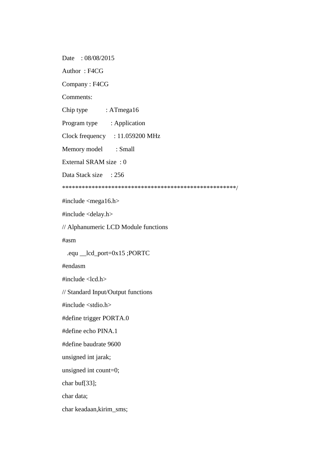Date: 08/08/2015

Author : F4CG

Company : F4CG

Comments:

Chip type : ATmega16

Program type : Application

Clock frequency : 11.059200 MHz

Memory model : Small

External SRAM size : 0

Data Stack size : 256

\*\*\*\*\*\*\*\*\*\*\*\*\*\*\*\*\*\*\*\*\*\*\*\*\*\*\*\*\*\*\*\*\*\*\*\*\*\*\*\*\*\*\*\*\*\*\*\*\*\*\*\*\*/

 $\#$ include  $\langle$ mega16.h $>$ 

#include <delay.h>

// Alphanumeric LCD Module functions

#asm

.equ \_\_lcd\_port=0x15 ;PORTC

#endasm

 $\#$ include  $\lt$ lcd.h $>$ 

// Standard Input/Output functions

#include <stdio.h>

#define trigger PORTA.0

#define echo PINA.1

#define baudrate 9600

unsigned int jarak;

unsigned int count=0;

char buf[33];

char data;

char keadaan,kirim\_sms;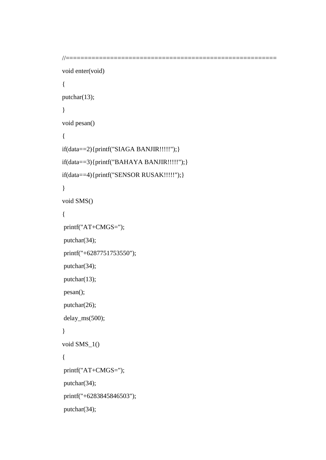```
//=========================================================
```

```
void enter(void)
{
putchar(13);
} 
void pesan()
{
if(data==2){printf("SIAGA BANJIR!!!!!");}
if(data==3){printf("BAHAYA BANJIR!!!!!");}
if(data==4){printf("SENSOR RUSAK!!!!!");}
}
void SMS()
{
printf("AT+CMGS=");
putchar(34);
printf("+6287751753550");
putchar(34);
putchar(13);
pesan();
putchar(26);
delay_ms(500); 
}
void SMS_1()
{
printf("AT+CMGS=");
putchar(34);
printf("+6283845846503");
putchar(34);
```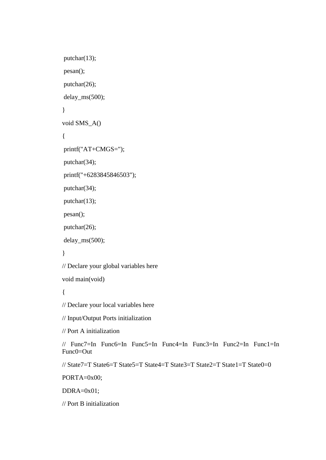```
putchar(13);
pesan();
putchar(26);
delay_ms(500); 
}
void SMS_A()
{
printf("AT+CMGS=");
putchar(34);
printf("+6283845846503");
putchar(34);
putchar(13);
pesan();
putchar(26);
delay_ms(500); 
} 
// Declare your global variables here
void main(void)
{
// Declare your local variables here
// Input/Output Ports initialization
// Port A initialization
// Func7=In Func6=In Func5=In Func4=In Func3=In Func2=In Func1=In 
Func0=Out 
// State7=T State6=T State5=T State4=T State3=T State2=T State1=T State0=0 
PORTA=0x00;
DDRA=0x01;
```
// Port B initialization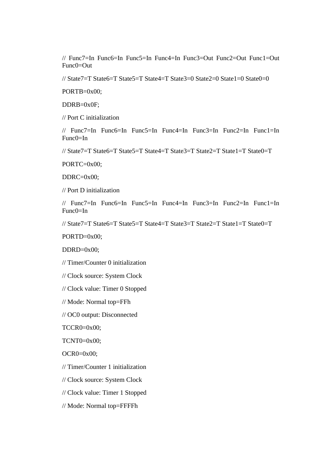// Func7=In Func6=In Func5=In Func4=In Func3=Out Func2=Out Func1=Out  $Func0=Out$ 

// State7=T State6=T State5=T State4=T State3=0 State2=0 State1=0 State0=0

PORTB=0x00;

DDRB=0x0F;

// Port C initialization

// Func7=In Func6=In Func5=In Func4=In Func3=In Func2=In Func1=In  $Func0=In$ 

// State7=T State6=T State5=T State4=T State3=T State2=T State1=T State0=T

PORTC=0x00;

DDRC=0x00;

// Port D initialization

// Func7=In Func6=In Func5=In Func4=In Func3=In Func2=In Func1=In Func0=In

// State7=T State6=T State5=T State4=T State3=T State2=T State1=T State0=T

PORTD=0x00;

 $DDRD=0x00$ :

// Timer/Counter 0 initialization

// Clock source: System Clock

// Clock value: Timer 0 Stopped

// Mode: Normal top=FFh

// OC0 output: Disconnected

TCCR0=0x00;

TCNT0=0x00;

 $OCR0=0x00;$ 

// Timer/Counter 1 initialization

// Clock source: System Clock

// Clock value: Timer 1 Stopped

// Mode: Normal top=FFFFh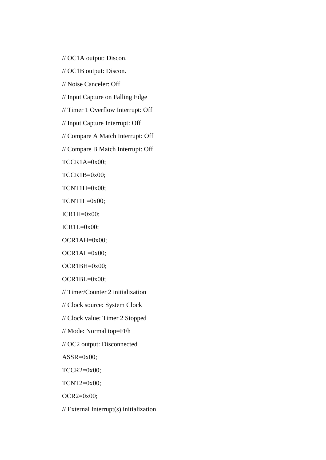// OC1A output: Discon.

// OC1B output: Discon.

// Noise Canceler: Off

// Input Capture on Falling Edge

// Timer 1 Overflow Interrupt: Off

// Input Capture Interrupt: Off

// Compare A Match Interrupt: Off

// Compare B Match Interrupt: Off

TCCR1A=0x00;

TCCR1B=0x00;

TCNT1H=0x00;

TCNT1L=0x00;

ICR1H=0x00;

 $ICR1L=0x00;$ 

OCR1AH=0x00;

OCR1AL=0x00;

OCR1BH=0x00;

OCR1BL=0x00;

// Timer/Counter 2 initialization

// Clock source: System Clock

// Clock value: Timer 2 Stopped

// Mode: Normal top=FFh

// OC2 output: Disconnected

 $ASSR=0x00;$ 

TCCR2=0x00;

TCNT2=0x00;

OCR2=0x00;

// External Interrupt(s) initialization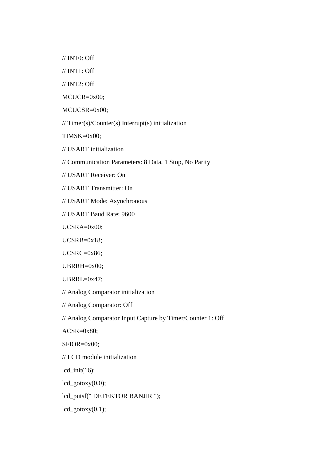// INT0: Off

// INT1: Off

// INT2: Off

MCUCR=0x00;

MCUCSR=0x00;

// Timer(s)/Counter(s) Interrupt(s) initialization

TIMSK=0x00;

// USART initialization

// Communication Parameters: 8 Data, 1 Stop, No Parity

// USART Receiver: On

// USART Transmitter: On

// USART Mode: Asynchronous

// USART Baud Rate: 9600

UCSRA=0x00;

UCSRB=0x18;

UCSRC=0x86;

UBRRH=0x00;

UBRRL=0x47;

// Analog Comparator initialization

// Analog Comparator: Off

// Analog Comparator Input Capture by Timer/Counter 1: Off

 $ACSR = 0x80;$ 

SFIOR=0x00;

// LCD module initialization

 $lcd\_init(16);$ 

 $lcd\_gotoxy(0,0);$ 

lcd\_putsf(" DETEKTOR BANJIR ");

 $lcd\_gotoxy(0,1);$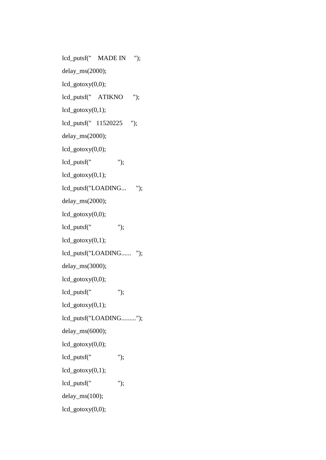lcd\_putsf(" MADE IN "); delay\_ms(2000);  $lcd\_gotoxy(0,0);$ lcd\_putsf(" ATIKNO ");  $lcd\_gotoxy(0,1);$ lcd\_putsf(" 11520225 "); delay\_ms(2000);  $lcd\_gotoxy(0,0);$ lcd\_putsf(" ");  $lcd\_gotoxy(0,1);$ lcd\_putsf("LOADING... "); delay\_ms(2000);  $lcd\_gotoxy(0,0);$ lcd\_putsf(" ");  $lcd\_gotoxy(0,1);$ lcd\_putsf("LOADING...... "); delay\_ms(3000);  $lcd\_gotoxy(0,0);$  $lcd\_putsf(" "");$  $lcd\_gotoxy(0,1);$ lcd\_putsf("LOADING........."); delay\_ms(6000);  $lcd\_gotoxy(0,0);$  $lcd\_putsf(" "");$  $lcd\_gotoxy(0,1);$ lcd\_putsf(" "); delay\_ms(100);  $lcd\_gotoxy(0,0);$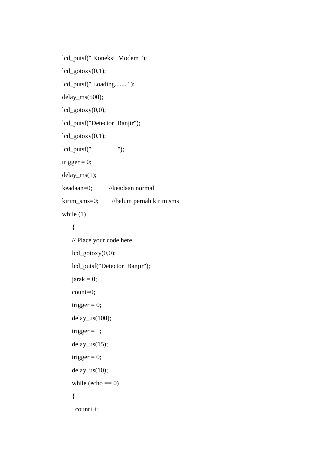lcd\_putsf(" Koneksi Modem ");  $lcd\_gotoxy(0,1);$ lcd\_putsf(" Loading....... "); delay\_ms(500);  $lcd\_gotoxy(0,0);$ lcd\_putsf("Detector Banjir");  $lcd\_gotoxy(0,1);$  $led\_putsf(" "");$ trigger  $= 0$ ; delay\_ms(1); keadaan=0; //keadaan normal kirim sms=0; //belum pernah kirim sms while  $(1)$  { // Place your code here lcd\_gotoxy(0,0); lcd\_putsf("Detector Banjir");  $jarak = 0;$  count=0; trigger  $= 0$ ;  $delay_us(100);$ trigger  $= 1$ ;  $delay_us(15);$ trigger  $= 0$ ; delay\_us(10); while  $(echo == 0)$  { count++;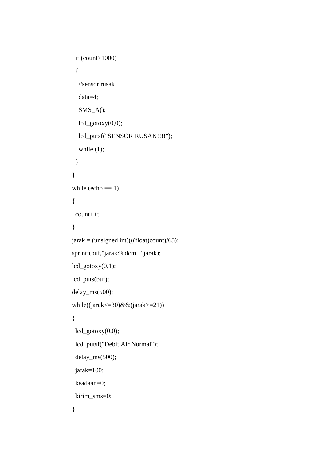```
 if (count>1000) 
  {
   //sensor rusak
   data=4;
   SMS_A();
   lcd_gotoxy(0,0);
   lcd_putsf("SENSOR RUSAK!!!!");
  while (1);
  }
 }
while (echo == 1)
 {
  count++;
 }
jarak = (unsigned int)(((float)count)/65); sprintf(buf,"jarak:%dcm ",jarak);
lcd\_gotoxy(0,1); lcd_puts(buf);
 delay_ms(500); 
while((jarak\leq=30)&&(jarak\geq=21))
 {
 lcd\_gotoxy(0,0); lcd_putsf("Debit Air Normal");
  delay_ms(500);
  jarak=100;
  keadaan=0;
  kirim_sms=0;
 }
```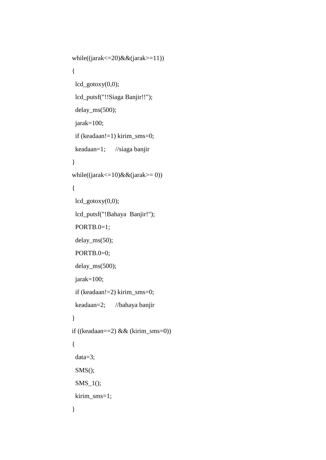```
 while((jarak<=20)&&(jarak>=11))
 {
 lcd\_gotoxy(0,0); lcd_putsf("!!Siaga Banjir!!");
  delay_ms(500); 
  jarak=100;
  if (keadaan!=1) kirim_sms=0;
  keadaan=1; //siaga banjir
 } 
while((jarak<=10)&&(jarak>=0))
 {
 lcd\_gotoxy(0,0); lcd_putsf("!Bahaya Banjir!");
  PORTB.0=1; 
  delay_ms(50);
  PORTB.0=0; 
  delay_ms(500); 
  jarak=100;
  if (keadaan!=2) kirim_sms=0;
  keadaan=2; //bahaya banjir
 }
 if ((keadaan==2) && (kirim_sms=0))
 {
  data=3;
  SMS();
  SMS_1();
 kirim_sms=1;
 }
```